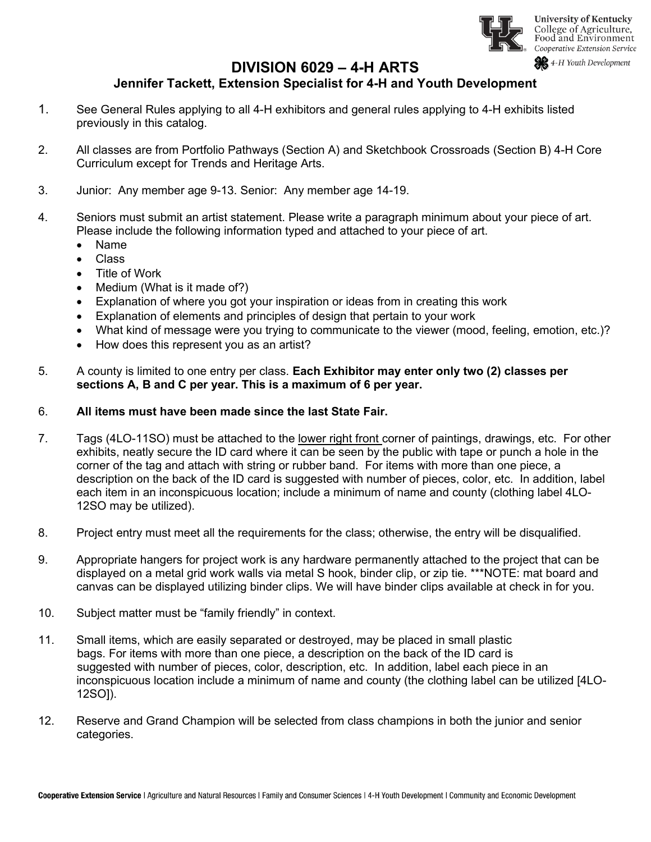

### **DIVISION 6029 – 4-H ARTS**

### **Jennifer Tackett, Extension Specialist for 4-H and Youth Development**

- 1. See General Rules applying to all 4-H exhibitors and general rules applying to 4-H exhibits listed previously in this catalog.
- 2. All classes are from Portfolio Pathways (Section A) and Sketchbook Crossroads (Section B) 4-H Core Curriculum except for Trends and Heritage Arts.
- 3. Junior: Any member age 9-13. Senior: Any member age 14-19.
- 4. Seniors must submit an artist statement. Please write a paragraph minimum about your piece of art. Please include the following information typed and attached to your piece of art.
	- Name
	- Class
	- Title of Work
	- Medium (What is it made of?)
	- Explanation of where you got your inspiration or ideas from in creating this work
	- Explanation of elements and principles of design that pertain to your work
	- What kind of message were you trying to communicate to the viewer (mood, feeling, emotion, etc.)?
	- How does this represent you as an artist?
- 5. A county is limited to one entry per class. **Each Exhibitor may enter only two (2) classes per sections A, B and C per year. This is a maximum of 6 per year.**

#### 6. **All items must have been made since the last State Fair.**

- 7. Tags (4LO-11SO) must be attached to the lower right front corner of paintings, drawings, etc. For other exhibits, neatly secure the ID card where it can be seen by the public with tape or punch a hole in the corner of the tag and attach with string or rubber band. For items with more than one piece, a description on the back of the ID card is suggested with number of pieces, color, etc. In addition, label each item in an inconspicuous location; include a minimum of name and county (clothing label 4LO-12SO may be utilized).
- 8. Project entry must meet all the requirements for the class; otherwise, the entry will be disqualified.
- 9. Appropriate hangers for project work is any hardware permanently attached to the project that can be displayed on a metal grid work walls via metal S hook, binder clip, or zip tie. \*\*\*NOTE: mat board and canvas can be displayed utilizing binder clips. We will have binder clips available at check in for you.
- 10. Subject matter must be "family friendly" in context.
- 11. Small items, which are easily separated or destroyed, may be placed in small plastic bags. For items with more than one piece, a description on the back of the ID card is suggested with number of pieces, color, description, etc. In addition, label each piece in an inconspicuous location include a minimum of name and county (the clothing label can be utilized [4LO-12SO]).
- 12. Reserve and Grand Champion will be selected from class champions in both the junior and senior categories.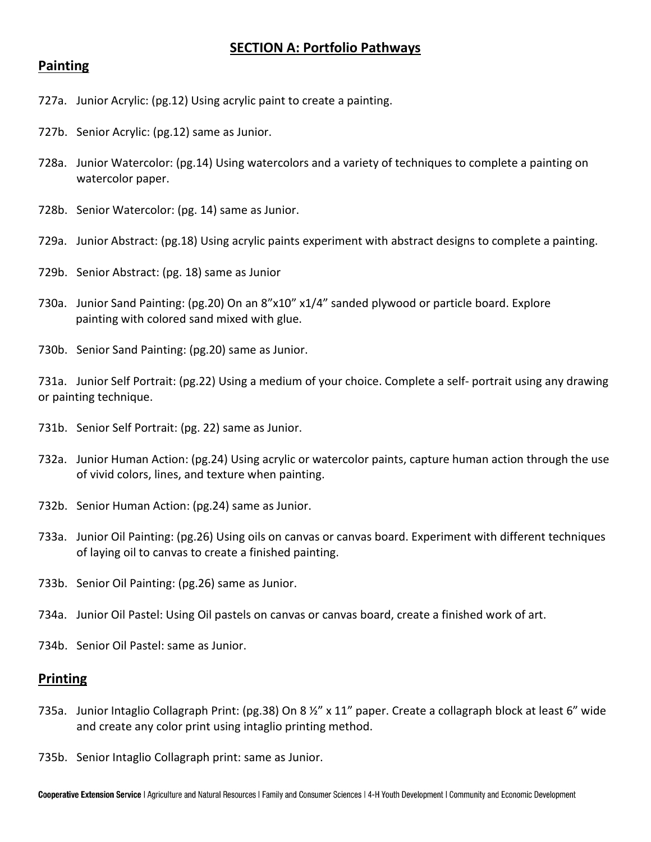## **SECTION A: Portfolio Pathways**

#### **Painting**

- 727a. Junior Acrylic: (pg.12) Using acrylic paint to create a painting.
- 727b. Senior Acrylic: (pg.12) same as Junior.
- 728a. Junior Watercolor: (pg.14) Using watercolors and a variety of techniques to complete a painting on watercolor paper.
- 728b. Senior Watercolor: (pg. 14) same as Junior.
- 729a. Junior Abstract: (pg.18) Using acrylic paints experiment with abstract designs to complete a painting.
- 729b. Senior Abstract: (pg. 18) same as Junior
- 730a. Junior Sand Painting: (pg.20) On an 8"x10" x1/4" sanded plywood or particle board. Explore painting with colored sand mixed with glue.
- 730b. Senior Sand Painting: (pg.20) same as Junior.

731a. Junior Self Portrait: (pg.22) Using a medium of your choice. Complete a self- portrait using any drawing or painting technique.

- 731b. Senior Self Portrait: (pg. 22) same as Junior.
- 732a. Junior Human Action: (pg.24) Using acrylic or watercolor paints, capture human action through the use of vivid colors, lines, and texture when painting.
- 732b. Senior Human Action: (pg.24) same as Junior.
- 733a. Junior Oil Painting: (pg.26) Using oils on canvas or canvas board. Experiment with different techniques of laying oil to canvas to create a finished painting.
- 733b. Senior Oil Painting: (pg.26) same as Junior.
- 734a. Junior Oil Pastel: Using Oil pastels on canvas or canvas board, create a finished work of art.
- 734b. Senior Oil Pastel: same as Junior.

#### **Printing**

- 735a. Junior Intaglio Collagraph Print: (pg.38) On 8 ½" x 11" paper. Create a collagraph block at least 6" wide and create any color print using intaglio printing method.
- 735b. Senior Intaglio Collagraph print: same as Junior.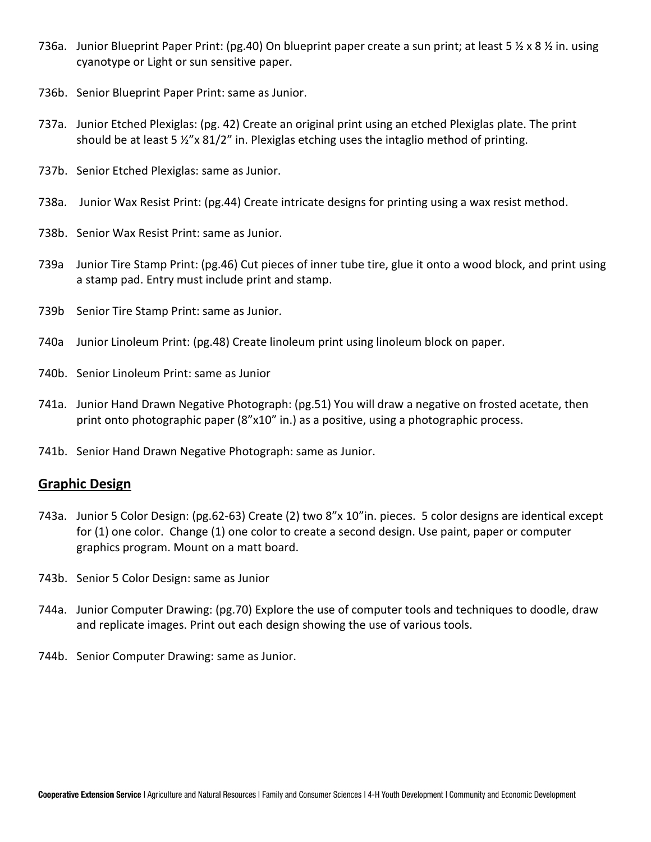- 736a. Junior Blueprint Paper Print: (pg.40) On blueprint paper create a sun print; at least 5 ½ x 8 ½ in. using cyanotype or Light or sun sensitive paper.
- 736b. Senior Blueprint Paper Print: same as Junior.
- 737a. Junior Etched Plexiglas: (pg. 42) Create an original print using an etched Plexiglas plate. The print should be at least 5  $\frac{1}{2}$ "x 81/2" in. Plexiglas etching uses the intaglio method of printing.
- 737b. Senior Etched Plexiglas: same as Junior.
- 738a. Junior Wax Resist Print: (pg.44) Create intricate designs for printing using a wax resist method.
- 738b. Senior Wax Resist Print: same as Junior.
- 739a Junior Tire Stamp Print: (pg.46) Cut pieces of inner tube tire, glue it onto a wood block, and print using a stamp pad. Entry must include print and stamp.
- 739b Senior Tire Stamp Print: same as Junior.
- 740a Junior Linoleum Print: (pg.48) Create linoleum print using linoleum block on paper.
- 740b. Senior Linoleum Print: same as Junior
- 741a. Junior Hand Drawn Negative Photograph: (pg.51) You will draw a negative on frosted acetate, then print onto photographic paper (8"x10" in.) as a positive, using a photographic process.
- 741b. Senior Hand Drawn Negative Photograph: same as Junior.

#### **Graphic Design**

- 743a. Junior 5 Color Design: (pg.62-63) Create (2) two 8"x 10"in. pieces. 5 color designs are identical except for (1) one color. Change (1) one color to create a second design. Use paint, paper or computer graphics program. Mount on a matt board.
- 743b. Senior 5 Color Design: same as Junior
- 744a. Junior Computer Drawing: (pg.70) Explore the use of computer tools and techniques to doodle, draw and replicate images. Print out each design showing the use of various tools.
- 744b. Senior Computer Drawing: same as Junior.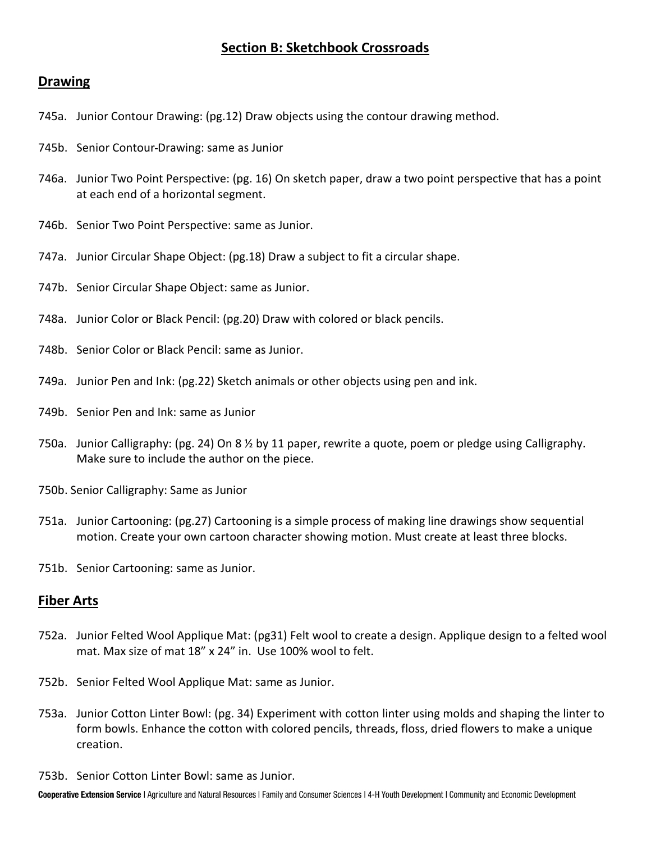# **Section B: Sketchbook Crossroads**

#### **Drawing**

- 745a. Junior Contour Drawing: (pg.12) Draw objects using the contour drawing method.
- 745b. Senior Contour Drawing: same as Junior
- 746a. Junior Two Point Perspective: (pg. 16) On sketch paper, draw a two point perspective that has a point at each end of a horizontal segment.
- 746b. Senior Two Point Perspective: same as Junior.
- 747a. Junior Circular Shape Object: (pg.18) Draw a subject to fit a circular shape.
- 747b. Senior Circular Shape Object: same as Junior.
- 748a. Junior Color or Black Pencil: (pg.20) Draw with colored or black pencils.
- 748b. Senior Color or Black Pencil: same as Junior.
- 749a. Junior Pen and Ink: (pg.22) Sketch animals or other objects using pen and ink.
- 749b. Senior Pen and Ink: same as Junior
- 750a. Junior Calligraphy: (pg. 24) On 8 ½ by 11 paper, rewrite a quote, poem or pledge using Calligraphy. Make sure to include the author on the piece.
- 750b. Senior Calligraphy: Same as Junior
- 751a. Junior Cartooning: (pg.27) Cartooning is a simple process of making line drawings show sequential motion. Create your own cartoon character showing motion. Must create at least three blocks.
- 751b. Senior Cartooning: same as Junior.

#### **Fiber Arts**

- 752a. Junior Felted Wool Applique Mat: (pg31) Felt wool to create a design. Applique design to a felted wool mat. Max size of mat 18" x 24" in. Use 100% wool to felt.
- 752b. Senior Felted Wool Applique Mat: same as Junior.
- 753a. Junior Cotton Linter Bowl: (pg. 34) Experiment with cotton linter using molds and shaping the linter to form bowls. Enhance the cotton with colored pencils, threads, floss, dried flowers to make a unique creation.
- 753b. Senior Cotton Linter Bowl: same as Junior.

Cooperative Extension Service | Agriculture and Natural Resources | Family and Consumer Sciences | 4-H Youth Development | Community and Economic Development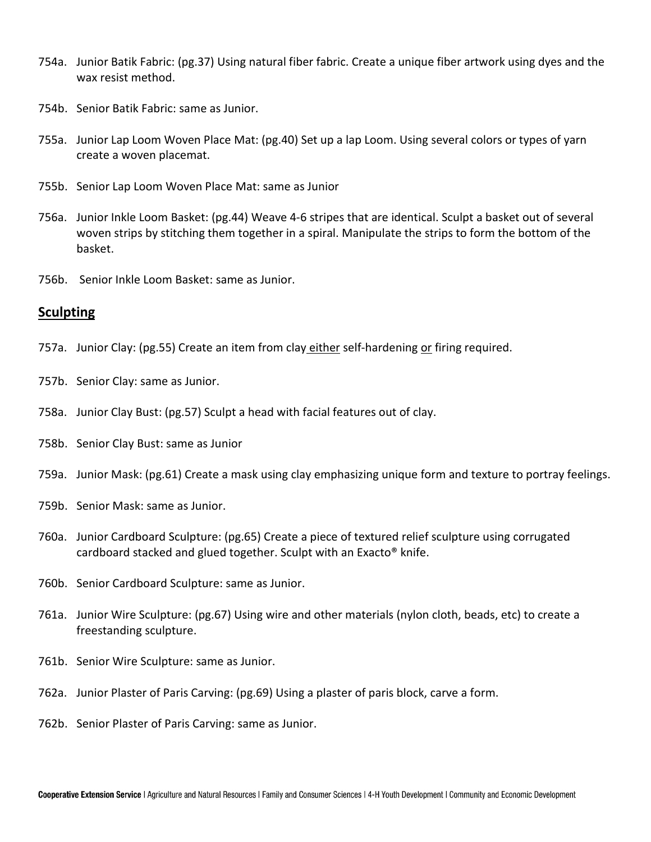- 754a. Junior Batik Fabric: (pg.37) Using natural fiber fabric. Create a unique fiber artwork using dyes and the wax resist method.
- 754b. Senior Batik Fabric: same as Junior.
- 755a. Junior Lap Loom Woven Place Mat: (pg.40) Set up a lap Loom. Using several colors or types of yarn create a woven placemat.
- 755b. Senior Lap Loom Woven Place Mat: same as Junior
- 756a. Junior Inkle Loom Basket: (pg.44) Weave 4-6 stripes that are identical. Sculpt a basket out of several woven strips by stitching them together in a spiral. Manipulate the strips to form the bottom of the basket.
- 756b. Senior Inkle Loom Basket: same as Junior.

#### **Sculpting**

- 757a. Junior Clay: (pg.55) Create an item from clay either self-hardening or firing required.
- 757b. Senior Clay: same as Junior.
- 758a. Junior Clay Bust: (pg.57) Sculpt a head with facial features out of clay.
- 758b. Senior Clay Bust: same as Junior
- 759a. Junior Mask: (pg.61) Create a mask using clay emphasizing unique form and texture to portray feelings.
- 759b. Senior Mask: same as Junior.
- 760a. Junior Cardboard Sculpture: (pg.65) Create a piece of textured relief sculpture using corrugated cardboard stacked and glued together. Sculpt with an Exacto® knife.
- 760b. Senior Cardboard Sculpture: same as Junior.
- 761a. Junior Wire Sculpture: (pg.67) Using wire and other materials (nylon cloth, beads, etc) to create a freestanding sculpture.
- 761b. Senior Wire Sculpture: same as Junior.
- 762a. Junior Plaster of Paris Carving: (pg.69) Using a plaster of paris block, carve a form.
- 762b. Senior Plaster of Paris Carving: same as Junior.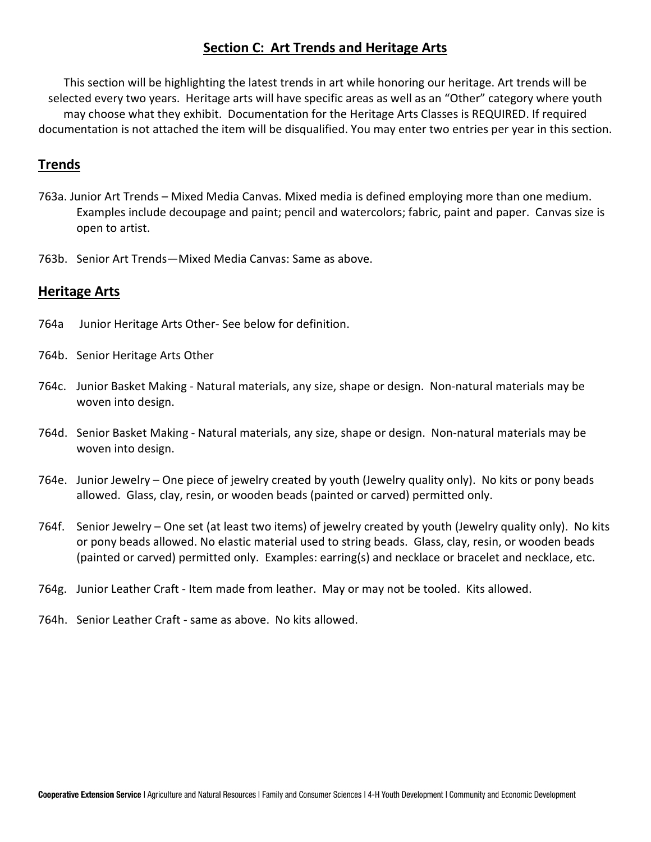## **Section C: Art Trends and Heritage Arts**

This section will be highlighting the latest trends in art while honoring our heritage. Art trends will be selected every two years. Heritage arts will have specific areas as well as an "Other" category where youth may choose what they exhibit. Documentation for the Heritage Arts Classes is REQUIRED. If required documentation is not attached the item will be disqualified. You may enter two entries per year in this section.

#### **Trends**

- 763a. Junior Art Trends Mixed Media Canvas. Mixed media is defined employing more than one medium. Examples include decoupage and paint; pencil and watercolors; fabric, paint and paper. Canvas size is open to artist.
- 763b. Senior Art Trends—Mixed Media Canvas: Same as above.

#### **Heritage Arts**

- 764a Junior Heritage Arts Other- See below for definition.
- 764b. Senior Heritage Arts Other
- 764c. Junior Basket Making Natural materials, any size, shape or design. Non-natural materials may be woven into design.
- 764d. Senior Basket Making Natural materials, any size, shape or design. Non-natural materials may be woven into design.
- 764e. Junior Jewelry One piece of jewelry created by youth (Jewelry quality only). No kits or pony beads allowed. Glass, clay, resin, or wooden beads (painted or carved) permitted only.
- 764f. Senior Jewelry One set (at least two items) of jewelry created by youth (Jewelry quality only). No kits or pony beads allowed. No elastic material used to string beads. Glass, clay, resin, or wooden beads (painted or carved) permitted only. Examples: earring(s) and necklace or bracelet and necklace, etc.
- 764g. Junior Leather Craft Item made from leather. May or may not be tooled. Kits allowed.
- 764h. Senior Leather Craft same as above. No kits allowed.